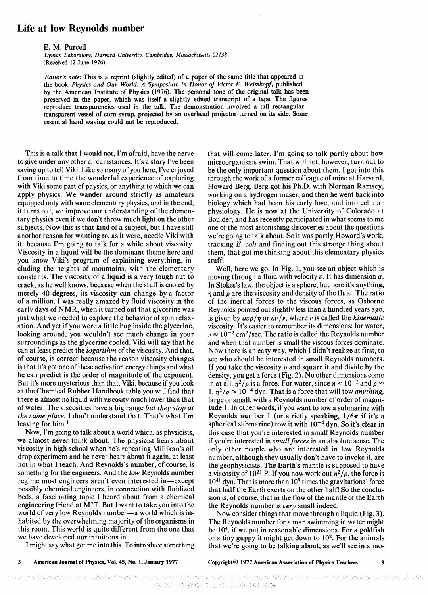# Life at low Reynolds number

## E. M. Purcell

Lyman Laboratory, Harvard University, Cambridge, Massachusetts 02138 (Received 12 June 1976)

Editor's note: This is a reprint (slightly edited) of a paper of the same title that appeared in the book Physics and Our World: A Symposium in Honor of Victor F. Weisskopf, published by the American Institute of Physics (1976). The personal tone of the original talk has been preserved in the paper, which was itself a slightly edited transcript of a tape. The figures reproduce transparencies used in the talk. The demonstration involved a tall rectangular transparent vessel of corn syrup, projected by an overhead projector turned on its side. Some essential hand waving could not be reproduced.

This is a talk that 1 would not, I'm afraid, have the nerve to give under any other circumstances. It's a story I've been saving up to tell Viki. Like so many of you here, I've enjoyed from time to time the wonderful experience of exploring with Viki some part of physics, or anything to which we can apply physics. We wander around strictly as amateurs equipped only with some elementary physics, and in the end, it turns out, we improve our understanding of the elementary physics even if we don't throw much light on the other subjects. Now this is that kind of a subject, but I have still another reason for wanting to, as it were, needle Viki with it, because I'm going to talk for a while about viscosity. Viscosity in a liquid will be the dominant theme here and you know Viki's program of explaining everything, including the heights of mountains, with the elementary constants. The viscosity of a liquid is a very tough nut to crack, as he well knows, because when the stuff is cooled by merely 40 degrees, its viscosity can change by a factor of a million. I was really amazed by fluid viscosity in the early days of NMR, when it turned out that glycerine was just what we needed to explore the behavior of spin relaxation. And yet if you were a little bug inside the glycerine, looking around, you wouldn't see much change in your surroundings as the glycerine cooled. Viki will say that he can at least predict the *logarithm* of the viscosity. And that, of course, is correct because the reason viscosity changes is that it's got one of these activation energy things and what he can predict is the order of magnitude of the exponent. But it's more mysterious than that, Viki, because if you look at the Chemical Rubber Handbook table you will find that there is almost no liquid with viscosity much lower than that of water. The viscosities have a big range but they stop at the same place. I don't understand that. That's what I'm leaving for him.!

Now, I'm going to talk about a world which, as physicists, we almost never think about. The physicist hears about viscosity in high school when he's repeating Millikan's oil drop experiment and he never hears about it again, at least not in what I teach. And Reynolds's number, of course, is something for the engineers. And the low Reynolds number regime most engineers aren't even interested in—except possibly chemical engineers, in connection with fluidized beds, a fascinating topic I heard about from a chemical engineering friend at MIT. But I want to take you into the world of very low Reynolds number—a world which is inhabited by the overwhelming majority of the organisms in this room. This world is quite different from the one that we have developed our intuitions in.

I might say what got me into this. To introduce something

that will come later, ''m going to talk partly about how microorganisms swim. That will not, however, turn out to be the only important question about them. I got into this through the work of a former coileague of mine at Harvard, Howard Berg. Berg got his Ph.D. with Norman Ramsey, working on a hydrogen maser, and then he went back into biology which had been his early love, and into cellular physiology. He is now at the University of Colorado at Boulder, and has recently participated in what seems to me one of the most astonishing discoveries about the questions we're going to talk about. So it was partly Howard's work, tracking E. coli and finding out this strange thing about them, that got me thinking about this elementary physics stuff.

Well, here we go. In Fig. 1, you see an object which is moving through a fluid with velocity  $v$ . It has dimension  $a$ . In Stokes's law, the object is a sphere, but here it's anything;  $\eta$  and  $\rho$  are the viscosity and density of the fluid. The ratio of the inertial forces to the viscous forces, as Osborne Reynolds pointed out slightly less than a hundred years ago, is given by  $\frac{av}{p}$  or  $\frac{av}{v}$ , where v is called the *kinematic* viscosity. It's easier to remember its dimensions: for water,  $\nu \approx 10^{-2}$  cm<sup>2</sup>/sec. The ratio is called the Reynolds number and when that number is small the viscous forces dominate. Now there is an easy way, which I didn't realize at first, to see who should be interested in small Reynolds numbers. If you take the viscosity  $\eta$  and square it and divide by the density, you get a force (Fig. 2). No other dimensions come in at all.  $\eta^2/\rho$  is a force. For water, since  $\eta \approx 10^{-2}$  and  $\rho \approx$ 1,  $\eta^2/\rho \approx 10^{-4}$  dyn. That is a force that will tow *anything*, large or small, with a Reynolds number of order of magnitude 1. In other words, if you want to tow a submarine with Reynolds number I (or strictly speaking,  $1/6\pi$  if it's a spherical submarine) tow it with  $10^{-4}$  dyn. So it's clear in this case that you're interested in small Reynolds number if you're interested in small forces in an absolute sense. The only other people who are interested in low Reynolds number, although they usually don't have to invoke it, are the geophysicists. The Earth's mantle is supposed to have a viscosity of 10<sup>21</sup> P. If you now work out  $\eta^2/\rho$ , the force is  $10^{41}$  dyn. That is more than  $10^9$  times the gravitational force that half the Earth exerts on the other half! So the conclusion is, of course, that in the flow of the mantle of the Earth the Reynolds number is very small indeed.

Now consider things that move through a liquid (Fig. 3). The Reynolds number for a man swimming in water might be  $10<sup>4</sup>$ , if we put in reasonable dimensions. For a goldfish or a tiny guppy it might get down to  $10<sup>2</sup>$ . For the animals that we're going to be talking about, as we'll see in a mo-

Copyright© 1977 American Association of Physics Teachers 3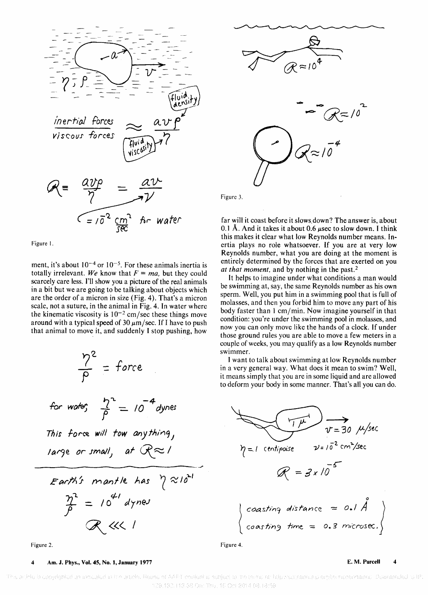



ment, it's about  $10^{-4}$  or  $10^{-5}$ . For these animals inertia is totally irrelevant. We know that  $F = ma$ , but they could scarcely care less. I'll show you a picture of the real animals in a bit but we are going to be talking about objects which are the order of a micron in size (Fig. 4). That's a micron scale, not a suture, in the animal in Fig. 4. In water where the kinematic viscosity is  $10^{-2}$  cm/sec these things move around with a typical speed of 30  $\mu$ m/sec. If I have to push that animal to move it, and suddenly I stop pushing, how

$$
\frac{7^2}{\rho} = \text{force}
$$
  
for water,  $\frac{7^2}{\rho} = 10^{-4}$  dynes  
This force will row anything,  
large or small, at  $\mathcal{R} \approx 1$ 

\n
$$
\text{24.3e or small, at } \mathcal{R} \approx 1
$$
\n

\n\n $\text{24.1: } \mathcal{R} \approx 10$ \n

\n\n $\frac{m^2}{\rho} = 10^{-4} \, \text{dyne.}$ \n

\n\n $\text{24.1: } \mathcal{R} \ll \frac{1}{\sqrt{2}}$ \n

\n\n $\text{24.1: } \mathcal{R} \ll \frac{1}{\sqrt{2}}$ \n

\n\n $\text{25.1: } \mathcal{R} \ll \frac{1}{\sqrt{2}}$ \n

\n\n $\text{26.1: } \mathcal{R} \ll \frac{1}{\sqrt{2}}$ \n

Figure 2.

#### 4 Am. J. Phys., Vol. 45, No. 1, January 1977





Figure 3.

far will it coast before it slows.down? The answer is, about 0.1 Å. And it takes it about 0.6 usec to slow down. I think this makes it clear what low Reynolds number means, Inertia plays no role whatsoever. If you are at very low Reynolds number, what you are doing at the moment is entirely determined by the forces that are exerted on you at that moment, and by nothing in the past.<sup>2</sup>

It helps to imagine under what conditions a man would be swimming at, say, the same Reynolds number as his own sperm. Well, you put him in a swimming pool that is full of molasses, and then you forbid him to move any part of his body faster than 1 cm/min. Now imagine yourself in that condition: you're under the swimming pool in molasses, and now you can only move like the hands of a clock. If under those ground rules you are able to move a few meters in a couple of weeks, you may qualify as a low Reynolds number swimmer.

I want to talk about swimming at low Reynolds number in a very general way. What does it mean to swim? Well, it means simply that you are in some liquid and are allowed to deform your body in some manner. That's all you can do.



Figure 4.

E. M. Purcell 4

 $\zeta$  /<br>January 1977<br>Martis, Maus The achie is copyrighted as executed as the attein. Rease of AAPT content a subject to the term at http://economica.po.org/orm.com/marabolication/2012).

a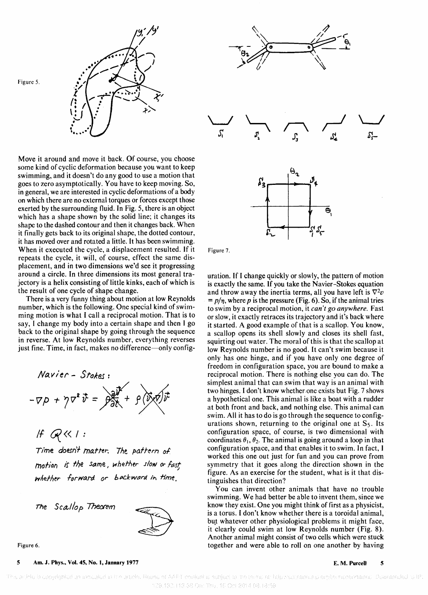

Figure 5.

Move it around and move it back. Of course, you choose some kind of cyclic deformation because you want to keep swimming, and it doesn't do any good to use a motion that goes to zero asymptotically. You have to keep moving. So, in general, we are interested in cyclic deformations of a body on which there are no external torques or forces except those exerted by the surrounding fluid. In Fig. 5, there is an object which has a shape shown by the solid line; it changes its shape to the dashed contour and then it changes back. When it finally gets back to its original shape, the dotted contour, it has moved over and rotated a little. It has been swimming. When it executed the cycle, a displacement resulted. If it repeats the cycle, it will, of course, effect the same displacement, and in two dimensions we'd see it progressing around a circle. In three dimensions its most general trajectory is a helix consisting of little kinks, each of which is the result of one cycle of shape change.

There is a very funny thing about motion at low Reynolds number, which is the following. One special kind of swimming motion is what I call a reciprocal motion. That is to say, I change my body into a certain shape and then I go back to the original shape by going through the sequence in reverse. At low Reynolds number, everything reverses just fine. Time, in fact, makes no difference—only config-



 $H$  $Q$ < $1$ :

Time doesn't matter. The pattern of motion 1s the Same, whether slow or fast whether forward or backward in time.

The § callop Theorem



Figure 6.

 $\overline{\phantom{a}}$  $\begin{array}{c}\n5 \\
\hline\n\end{array}$  $\mathcal{F}_1$  and  $\mathcal{F}_2$  and  $\mathcal{F}_3$  and  $\mathcal{F}_4$  and  $\mathcal{F}_3$  $\mathbf{P}$ وب  $\delta_3$   $\rightarrow$   $\beta_4$ A  $\bar{\bm e}$ 

 $\delta$   $\sim$   $\frac{1}{2}$   $\frac{1}{2}$   $\frac{1}{2}$   $\frac{1}{2}$   $\frac{1}{2}$   $\frac{1}{2}$   $\frac{1}{2}$   $\frac{1}{2}$   $\frac{1}{2}$ 

Figure 7.

uration. If I change quickly or slowly, the pattern of motion is exactly the same. If you take the Navier-Stokes equation and throw away the inertia terms, all you have left is  $\nabla^2 v$  $= p/\eta$ , where p is the pressure (Fig. 6). So, if the animal tries to swim by a reciprocal motion, it can't go anywhere. Fast or slow, it exactly retraces its trajectory and it's back where it started. A good example of that is a scallop. You know, a scallop opens its shell slowly and closes its shell fast, squirting out water. The moral of this is that the scallop at low Reynolds number is no good. It can't swim because it only has one hinge, and if you have only one degree of freedom in configuration space, you are bound to make a reciprocal motion. There is nothing else you can do. The simplest animal that can swim that way is an animal with two hinges. I don't know whether one exists but Fig. 7 shows a hypothetical one. This animal is like a boat with a rudder at both front and back, and nothing else. This animal can swim. All it has to do is go through the sequence to configurations shown, returning to the original one at  $S_5$ . Its configuration space, of course, is two dimensional with coordinates  $\theta_1$ ,  $\theta_2$ . The animal is going around a loop in that configuration space, and that enables it to swim. In fact, I worked this one out just for fun and you can prove from symmetry that it goes along the direction shown in the figure. As an exercise for the student, what is it that distinguishes that direction?

You can invent other animals that have no trouble swimming. We had better be able to invent them, since we know they exist. One you might think of first as a physicist, is a torus. I don't know whether there is a toroidal animal, but whatever other physiological problems it might face, it clearly could swim at low Reynolds number (Fig. 8). Another animal might consist of two cells which were stuck together and were able to roll on one another by having

5 Am. J. Phys., Vol. 45, No. 1, January 1977

E. M. Purcell 5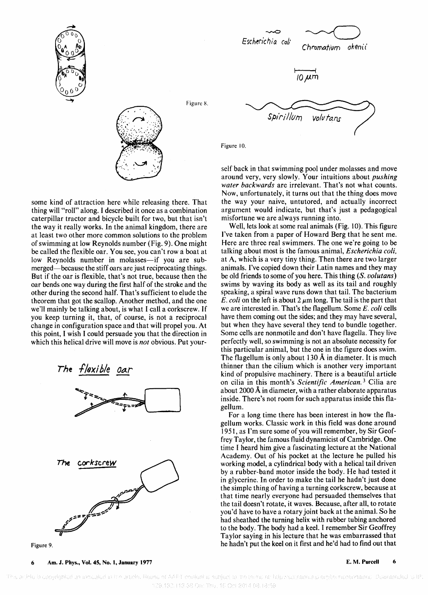



some kind of attraction here while releasing there. That thing will "roll" along. I described it once as a combination caterpillar tractor and bicycle built for two, but that isn't the way it really works. In the animal kingdom, there are at least two other more common solutions to the problem of swimming at low Reynolds number (Fig. 9). One might be called the flexible oar. You see, you can't row a boat at low Reynolds number in molasses—if you are submerged—because the stiff oars are just reciprocating things. But if the oar is flexible, that's not true, because then the oar bends one way during the first half of the stroke and the other during the second half. That's sufficient to elude the theorem that got the scallop. Another method, and the one we'll mainly be talking about, is what I call a corkscrew. If you keep turning it, that, of course, is not a reciprocal change in configuration space and that will propel you. At this point, I wish I could persuade you that the direction in which this helical drive will move is not obvious. Put your-





6 Am. J. Phys., Vol. 45, No. 1, January 1977



Figure 10.

Figure 8.

self back in that swimming pool under molasses and move around very, very slowly. Your intuitions about pushing water backwards are irrelevant. That's not what counts. Now, unfortunately, it turns out that the thing does move the way your naive, untutored, and actually incorrect argument would indicate, but that's just a pedagogical misfortune we are always running into.

Well, lets look at some real animals (Fig. 10). This figure I've taken from a paper of Howard Berg that he sent me. Here are three real swimmers. The one we're going to be talking about most is the famous animal, Escherichia coli, at A, which is a very tiny thing. Then there are two larger animals. I've copied down their Latin names and they may be old friends to some of you here. This thing (S. volutans) swims by waving its body as well as its tail and roughly speaking, a spiral wave runs down that tail. The bacterium  $\overline{E}$ . coli on the left is about 2  $\mu$ m long. The tail is the part that we are interested in. That's the flagellum. Some  $E$ . coli cells have them coming out the sides; and they may have several, but when they have several they tend to bundle together. Some cells are nonmotile and don't have flagella. They live perfectly well, so swimming is not an absolute necessity for this particular animal, but the one in the figure does swim. The flagellum is only about 130 Å in diameter. It is much thinner than the cilium which is another very important kind of propulsive machinery. There is a beautiful article on cilia in this month's Scientific American.<sup>3</sup> Cilia are about 2000 A in diameter, with a rather elaborate apparatus inside. There's not room for such apparatus inside this flagellum.

For a long time there has been interest in how the flagellum works. Classic work in this field was done around 1951, as I'm sure some of you will remember, by Sir Geoffrey Taylor, the famous fluid dynamicist of Cambridge. One time I heard him give a fascinating lecture at the National Academy. Out of his pocket at the lecture he pulled his working model, a cylindrical body with a helical tail driven by a rubber-band motor inside the body. He had tested it in glycerine. In order to make the tail he hadn't just done the simple thing of having a turning corkscrew, because at that time nearly everyone had persuaded themselves that the tail doesn't rotate, it waves. Because, after all, to rotate you'd have to have a rotary joint back at the animal. So he had sheathed the turning helix with rubber tubing anchored to the body. The body had a keel. I remember Sir Geoffrey Taylor saying in his lecture that he was embarrassed that he hadn't put the keel on it first and he'd had to find out that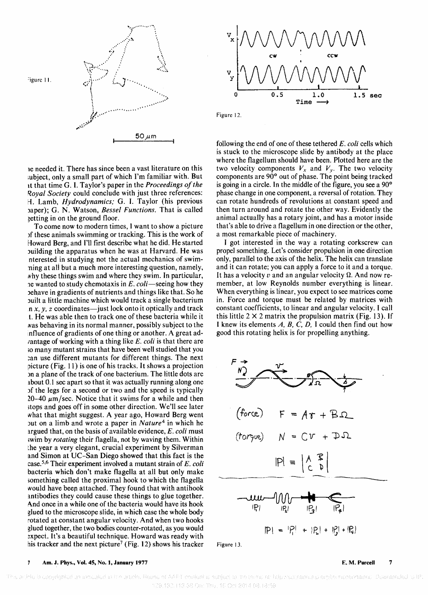

ve needed it. There has since been a vast literature on this subject, only a small part of which Pm familiar with. But it that time G. I. Taylor's paper in the Proceedings of the Royal Society could conclude with just three references: H. Lamb, Hydrodynamics; G. 1. Taylor (his previous yaper); G. N. Watson, Bessel Functions. That is called yetting in on the ground floor.

To come now to modern times, I want to show a picture of these animals swimming or tracking. This is the work of Howard Berg, and I'll first describe what he did. He started puilding the apparatus when he was at Harvard. He was nterested in studying not the actual mechanics of swimning at all but a much more interesting question, namely, why these things swim and where they swim. In particular, 1e wanted to study chemotaxis in  $E$ ,  $coll$ —seeing how they sehave in gradients of nutrients and things like that. So he suilt a little machine which would track a single bacterium  $n x, y, z$  coordinates—just lock onto it optically and track t. He was able then to track one of these bacteria while it was behaving in its normal manner, possibly subject to the influence of gradients of one thing or another. A great advantage of working with a thing like  $E$ . coli is that there are 30 many mutant strains that have been well studied that you can use different mutants for different things. The next picture (Fig. 11) is one of his tracks, It shows a projection ona plane of the track of one bacterium. The little dots are about 0.1 sec apart so that it was actually running along one of the legs for a second or two and the speed is typically 20-40  $\mu$ m/sec. Notice that it swims for a while and then stops and goes off in some other direction. We'll see later what that might suggest. A year ago, Howard Berg went out on a limb and wrote a paper in  $Nature<sup>4</sup>$  in which he argued that, on the basis of available evidence, E. coli must swim by rotating their flagella, not by waving them. Within the year a very elegant, crucial experiment by Silverman and Simon at UC-San Diego showed that this fact is the case.<sup>5,6</sup> Their experiment involved a mutant strain of  $E.$  coli bacteria which don't make flagella at all but only make something called the proximal hook to which the flagella would have been attached. They found that with antihook antibodies they could cause these things to glue together. And once in a while one of the bacteria would have its hook glued to the microscope slide, in which case the whole body rotated at constant angular velocity. And when two hooks glued together, the two bodies counter-rotated, as you would 2xpect. It's a beautiful technique. Howard was ready with his tracker and the next picture<sup>7</sup> (Fig. 12) shows his tracker





following the end of one of these tethered  $E$ . *coli* cells which is stuck to the microscope slide by antibody at the place where the flagellum should have been. Plotted here are the two velocity components  $V_x$  and  $V_y$ . The two velocity components are 90° out of phase. The point being tracked is going in a circle. In the middle of the figure, you see a 90° phase change in one component, a reversal of rotation. They can rotate hundreds of revolutions at constant speed and then turn around and rotate the other way. Evidently the animal actually has a rotary joint, and has a motor inside that's able to drive a flagellum in one direction or the other, a most remarkable piece of machinery.

I got interested in the way a rotating corkscrew can propel something. Let's consider propulsion in one direction only, parallel to the axis of the helix. The helix can translate and it can rotate; you can apply a force to it and a torque. It has a velocity v and an angular velocity  $\Omega$ . And now remember, at low Reynolds number everything is linear. When everything is linear, you expect to see matrices come in. Force and torque must be related by matrices with constant coefficients, to linear and angular velocity. I call this little  $2 \times 2$  matrix the propulsion matrix (Fig. 13). If I knew its elements  $A$ ,  $B$ ,  $C$ ,  $D$ , I could then find out how good this rotating helix is for propelling anything.



Figure 13.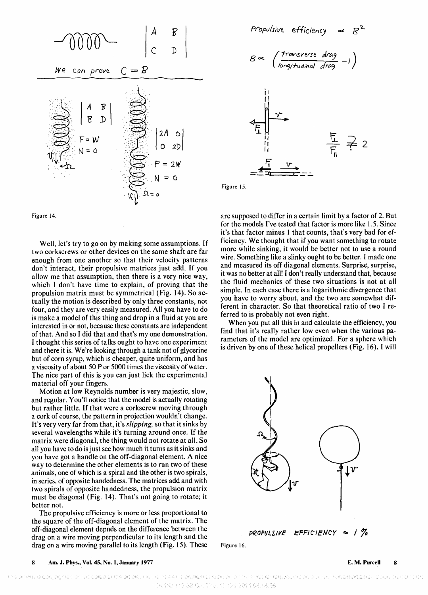

Figure 14.

Well, let's try to go on by making some assumptions. If two corkscrews or other devices on the same shaft are far enough from one another so that their velocity patterns don't interact, their propulsive matrices just add. If you allow me that assumption, then there is a very nice way, which I don't have time to explain, of proving that the propulsion matrix must be symmetrical (Fig. 14). So actually the motion is described by only three constants, not four, and they are very easily measured. All you have to do is make a model of this thing and drop in a fluid at you are interested in or not, because these constants are independent of that. And so J did that and that's my one demonstration. I thought this series of talks ought to have one experiment and there it is. We're looking through a tank not of glycerine but of corn syrup, which is cheaper, quite uniform, and has a viscosity of about 50 P or 5000 times the viscosity of water. The nice part of this is you can just lick the experimental material off your fingers.

iveral wavelengths while it's<br>atrix were diagonal, the thi<br>l you have to do is just see ho<br>bu have got a handle on the<br>ay to determine the other el<br>imals, one of which is a spir-<br>series, of opposite handedne<br>wo spirals of Motion at low Reynolds number is very majestic, slow, and regular. You'll notice that the model is actually rotating but rather little. If that were a corkscrew moving through a cork of course, the pattern in projection wouldn't change. It's very very far from that, it's *slipping*, so that it sinks by several wavelengths while it's turning around once. If the matrix were diagonal, the thing would not rotate at all. So all you have to do is just see how much it turns as it sinks and you have got a handle on the off-diagonal element. A nice way to determine the other elements is to run two of these animals, one of which is a spiral and the other is two spirals, in series, of opposite handedness. The matrices add and with two spirals of opposite handedness, the propulsion matrix must be diagonal (Fig. 14). That's not going to rotate; it better not.

The propulsive efficiency is more or less proportional to the square of the off-diagonal element of the matrix. The off-diagonal element depnds on the difference between the drag on a wire moving perpendicular to its length and the drag on a wire moving parallel to its length (Fig. 15). These

 $\propto R^2$ Propulsive etic iency



Figure 15,

are supposed to differ in a certain limit by a factor of 2. But for the models I've tested that factor is more like 1.5. Since it's that factor minus 1 that counts, that's very bad for efficiency. We thought that if you want something to rotate more while sinking, it would be better not to use a round wire. Something like a slinky ought to be better. I made one and measured its off diagonal elements. Surprise, surprise, it was no better at all! I don't really understand that, because the fluid mechanics of these two situations is not at all simple. In each case there is a logarithmic divergence that you have to worry about, and the two are somewhat different in character. So that theoretical ratio of two I referred to is probably not even right.

When you put all this in and calculate the efficiency, you find that it's really rather low even when the various parameters of the model are optimized. For a sphere whith is driven by one of these helical propellers (Fig. 16), I will



Figure 16.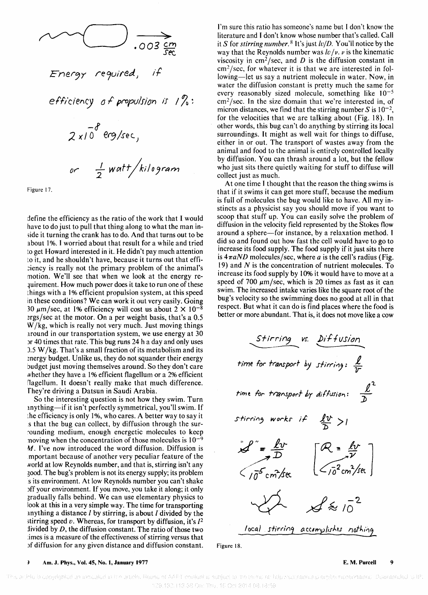

Eneroy required, if

efficiency of propulsion is  $1\%$ :

$$
2\times10^{8}
$$
 erg/sec,

or 
$$
\frac{1}{2}
$$
 wat*t/kilogram*

Figure 17.

define the efficiency as the ratio of the work that I would have to do just to pull that thing along to what the man inside it turning the crank has to do. And that turns out to be about 1%. I worried about that result for a while and tried to get Howard interested in it. He didn't pay much attention to it, and he shouldn't have, because it turns out that efficiency is really not the primary problem of the animal's motion. We'll see that when we look at the energy rejuirement. How much power does it take to run one of these things with a 1% efficient propulsion system, at this speed in these conditions? We can work it out very easily. Going 30  $\mu$ m/sec, at 1% efficiency will cost us about 2  $\times$  10<sup>-8</sup> ergs/sec at the motor. On a per weight basis, that's a 0.5 W/kg, which is really not very much. Just moving things around in our transportation system, we use energy at 30 or 40 times that rate. This bug runs 24 ha day and only uses ).5 W/kg. That's a small fraction of its metabolism and its nergy budget. Unlike us, they do not squander their energy budget just moving themselves around. So they don't care whether they have a 1% efficient flagellum or a 2% efficient flagellum. It doesn't really make that much difference. They're driving a Datsun in Saudi Arabia.

So the interesting question is not how they swim. Turn anything—if it isn't perfectly symmetrical, you'll swim. If the efficiency is only 1%, who cares. A better way to say it s that the bug can collect, by diffusion through the surrounding medium, enough energetic molecules to keep moving when the concentration of those molecules is  $10^{-9}$ M. I've now introduced the word diffusion. Diffusion is mportant because of another very peculiar feature of the world at low Reynolds number, and that is, stirring isn't any 300d. The bug's problem is not its energy supply; its problem is its environment. At low Reynolds number you can't shake off your environment. If you move, you take it along; it only zradually falls behind. We can use elementary physics to look at this in a very simple way. The time for transporting anything a distance  $l$  by stirring, is about  $l$  divided by the stirring speed  $v$ . Whereas, for transport by diffusion, it's  $l^2$ Iivided by  $D$ , the diffusion constant. The ratio of those two imes is a measure of the effectiveness of stirring versus that of diffusion for any given distance and diffusion constant.

I'm sure this ratio has someone's name but I don't know the literature and I don't know whose number that's called. Call it S for stirring number.<sup>8</sup> It's just  $\frac{dv}{D}$ . You'll notice by the way that the Reynolds number was  $\frac{dv}{v}$ , *v* is the kinematic viscosity in  $\text{cm}^2/\text{sec}$ , and D is the diffusion constant in  $cm<sup>2</sup>/sec$ , for whatever it is that we are interested in following—let us say a nutrient molecule in water. Now, in water the diffusion constant is pretty much the same for every reasonably sized molecule, something like  $10^{-5}$  $cm<sup>2</sup>/sec$ . In the size domain that we're interested in, of micron distances, we find that the stirring number S is  $10^{-2}$ , for the velocities that we are talking about (Fig. 18). In other words, this bug can't do anything by stirring its local surroundings. It might as well wait for things to diffuse, either in or out. The transport of wastes away from the animal and food to the animal is entirely controlled locally by diffusion. You can thrash around a lot, but the fellow who just sits there quietly waiting for stuff to diffuse will collect just as much.

At one time I thought that the reason the thing swims is that if it swims it can get more stuff, because the medium is full of molecules the bug would like to have. All my instincts as a physicist say you should move if you want to scoop that stuff up. You can easily solve the problem of diffusion in the velocity field represented by the Stokes flow around a sphere—for instance, by a relaxation method. I did so and found out how fast the cell would have to go to increase its food supply. The food supply if it just sits there is  $4\pi aND$  molecules/sec, where a is the cell's radius (Fig. 19) and  $N$  is the concentration of nutrient molecules. To increase its food supply by 10% it would have to move at a speed of 700  $\mu$ m/sec, which is 20 times as fast as it can swim. The increased intake varies like the square root of the bug's velocity so the swimming does no good at all in that respect. But what it can do is find places where the food is better or more abundant. That is, it does not move like a cow

Stirring vs. Diffusion  
\ntime for transport by stirring: 
$$
\frac{l}{v}
$$
  
\ntime for transport by diffusion:  $\frac{l^2}{D}$   
\nstring works if  $\frac{lv}{D} > 1$   
\n
$$
\frac{l^2}{2} = \frac{lv}{D} \qquad \left[ \frac{Q}{\sqrt{2}} = \frac{lv}{\sqrt{2}} \right]
$$
\n
$$
\sqrt{0.5} = \frac{lv}{\sqrt{2}} \qquad \left[ \frac{Q}{\sqrt{0.5}} = \frac{lv}{\sqrt{2}} \right]
$$
\n
$$
\sqrt{0.5} = \frac{3}{2} = \frac{3}{2} = \frac{3}{2}
$$
\n
$$
\sqrt{0.5} = \frac{3}{2} = \frac{3}{2} = \frac{3}{2}
$$
\n
$$
\sqrt{0.5} = \frac{3}{2} = \frac{3}{2} = \frac{3}{2}
$$
\n
$$
\sqrt{0.5} = \frac{3}{2} = \frac{3}{2} = \frac{3}{2}
$$
\n
$$
\sqrt{0.5} = \frac{3}{2} = \frac{3}{2} = \frac{3}{2}
$$
\n
$$
\sqrt{0.5} = \frac{3}{2} = \frac{3}{2} = \frac{3}{2} = \frac{3}{2} = \frac{3}{2} = \frac{3}{2} = \frac{3}{2} = \frac{3}{2} = \frac{3}{2} = \frac{3}{2} = \frac{3}{2} = \frac{3}{2} = \frac{3}{2} = \frac{3}{2} = \frac{3}{2} = \frac{3}{2} = \frac{3}{2} = \frac{3}{2} = \frac{3}{2} = \frac{3}{2} = \frac{3}{2} = \frac{3}{2} = \frac{3}{2} = \frac{3}{2} = \frac{3}{2} = \frac{3}{2} = \frac{3}{2} = \frac{3}{2} = \frac{3}{2} = \frac{3}{2} = \frac{3}{2} = \frac{3}{2} = \frac{3}{2} = \frac{3}{2} = \frac{3}{2} = \frac{3}{2} = \frac{3}{2} = \frac{3}{2} = \frac{3}{2} = \frac{3}{2} = \frac{3}{2} = \frac{3}{2} = \frac{3}{2} = \frac{3}{2} = \frac{3}{2} = \frac{3}{2} = \frac{3}{2
$$

Figure 18.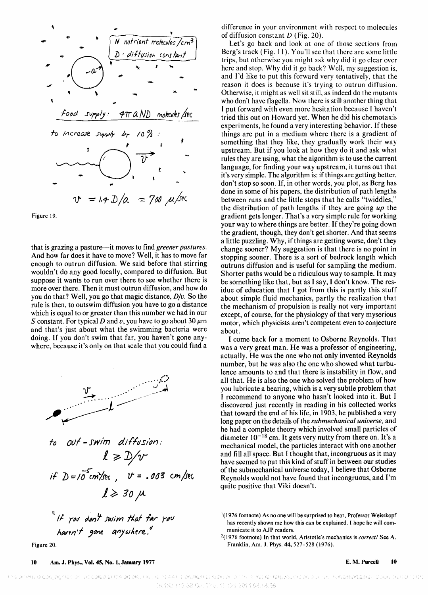



that is grazing a pasture—it moves to find greener pastures. And how far does it have to move? Well, it has to move far enough to outrun diffusion. We said before that stirring wouldn't do any good locally, compared to diffusion. But suppose it wants to run over there to see whether there is more over there. Then it must outrun diffusion, and how do you do that? Well, you go that magic distance, D/v. So the rule is then, to outswim diffusion you have to go a distance which is equal to or greater than this number we had in our S constant. For typical D and v, you have to go about 30  $\mu$ m and that's just about what the swimming bacteria were doing. If you don't swim that far, you haven't gone anywhere, because it's only on that scale that you could find a



" lf you don? suiim that tar you haven't gone anywhere."

Figure 20.

difference in your environment with respect to molecules of diffusion constant  $D$  (Fig. 20).

Let's go back and look at one of those sections from Berg's track (Fig. 11). You'll see that there are some little trips, but otherwise you might ask why did it go clear over here and stop. Why did it go back? Well, my suggestion is, and Id like to put this forward very tentatively, that the reason it does is because it's trying to outrun diffusion. Otherwise, it might as well sit still, as indeed do the mutants who don't have flagella. Now there is still another thing that I put forward with even more hesitation because [ haven't tried this out on Howard yet. When he did his chemotaxis experiments, he found a very interesting behavior. If these things are put in a medium where there is a gradient of something that they like, they gradually work their way upstream. But if you look at how they do it and ask what rules they are using, what the algorithm is to use the current language, for finding your way upstream, it turns out that it's very simple. The algorithm is: if things are getting better, don't stop so soon. If, in other words, you plot, as Berg has done in some of his papers, the distribution of path lengths between runs and the little stops that he calls "twiddles," the distribution of path lengths if they are going  $up$  the gradient gets longer. That's a very simple rule for working your way to where things are better. If they're going down the gradient, though, they don't get shorter. And that seems a little puzzling. Why, if things are getting worse, don't they change sooner? My suggestion is that there is no point in stopping sooner. There is a sort of bedrock length which outruns diffusion and is useful for sampling the medium. Shorter paths would be a ridiculous way to sample. It may be something like that, but as I say, I don't know. The residue of education that I got from this is partly this stuff about simple fluid mechanics, partly the realization that the mechanism of propulsion is really not very important except, of course, for the physiology of that very myserious motor, which physicists aren't competent even to conjecture about.

I come back for a moment to Osborne Reynolds. That was a very great man. He was a professor of engineering, actually. He was the one who not only invented Reynolds number, but he was also the one who showed what turbulence amounts to and that there is instability in flow, and all that. He is also the one who solved the problem of how you lubricate a bearing, which is a very subtle problem that I recommend to anyone who hasn't looked into it. But I discovered just recently in reading in his collected works that toward the end of his life, in 1903, he published a very long paper on the details of the *submechanical universe*, and he had a complete theory which involved small particles of diameter  $10^{-18}$  cm. It gets very nutty from there on. It's a mechanical model, the particles interact with one another and fill all space. But I thought that, incongruous as it may have seemed to put this kind of stuff in between our studies of the submechanical universe today, I believe that Osborne Reynolds would not have found that incongruous, and I'm quite positive that Viki doesn't.

 $2(1976$  footnote) In that world, Aristotle's mechanics is *correct!* See A. Franklin, Am. J. Phys. 44, 527-528 (1976).

10 Am. J. Phys., Vol. 45, No. 1, January 1977

<sup>&#</sup>x27;(1976 footnote) As no one will be surprised to hear, Professor Weisskopf has recently shown me how this can be explained. I hope he will communicate it to AJP readers.